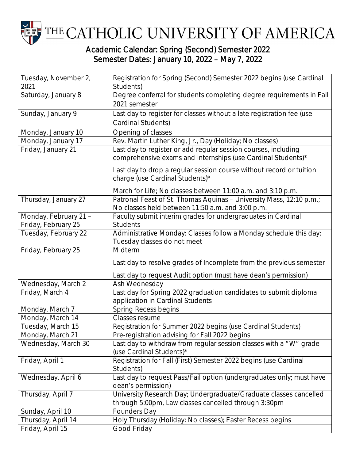

## Academic Calendar: Spring (Second) Semester 2022 Semester Dates: January 10, 2022 – May 7, 2022

| Tuesday, November 2,<br>2021                 | Registration for Spring (Second) Semester 2022 begins (use Cardinal<br>Students)                                               |
|----------------------------------------------|--------------------------------------------------------------------------------------------------------------------------------|
| Saturday, January 8                          | Degree conferral for students completing degree requirements in Fall                                                           |
|                                              | 2021 semester                                                                                                                  |
| Sunday, January 9                            | Last day to register for classes without a late registration fee (use                                                          |
|                                              | Cardinal Students)                                                                                                             |
| Monday, January 10                           | Opening of classes                                                                                                             |
| Monday, January 17                           | Rev. Martin Luther King, Jr., Day (Holiday; No classes)                                                                        |
| Friday, January 21                           | Last day to register or add regular session courses, including<br>comprehensive exams and internships (use Cardinal Students)* |
|                                              | Last day to drop a regular session course without record or tuition<br>charge (use Cardinal Students)*                         |
|                                              | March for Life; No classes between 11:00 a.m. and 3:10 p.m.                                                                    |
| Thursday, January 27                         | Patronal Feast of St. Thomas Aquinas - University Mass, 12:10 p.m.;<br>No classes held between 11:50 a.m. and 3:00 p.m.        |
| Monday, February 21 -<br>Friday, February 25 | Faculty submit interim grades for undergraduates in Cardinal<br><b>Students</b>                                                |
| Tuesday, February 22                         | Administrative Monday: Classes follow a Monday schedule this day;<br>Tuesday classes do not meet                               |
| Friday, February 25                          | Midterm                                                                                                                        |
|                                              | Last day to resolve grades of Incomplete from the previous semester                                                            |
|                                              | Last day to request Audit option (must have dean's permission)                                                                 |
| Wednesday, March 2                           | Ash Wednesday                                                                                                                  |
| Friday, March 4                              | Last day for Spring 2022 graduation candidates to submit diploma<br>application in Cardinal Students                           |
| Monday, March 7                              | Spring Recess begins                                                                                                           |
| Monday, March 14                             | Classes resume                                                                                                                 |
| Tuesday, March 15                            | Registration for Summer 2022 begins (use Cardinal Students)                                                                    |
| Monday, March 21                             | Pre-registration advising for Fall 2022 begins                                                                                 |
| Wednesday, March 30                          | Last day to withdraw from regular session classes with a "W" grade<br>(use Cardinal Students)*                                 |
| Friday, April 1                              | Registration for Fall (First) Semester 2022 begins (use Cardinal<br>Students)                                                  |
| Wednesday, April 6                           | Last day to request Pass/Fail option (undergraduates only; must have<br>dean's permission)                                     |
| Thursday, April 7                            | University Research Day; Undergraduate/Graduate classes cancelled<br>through 5:00pm, Law classes cancelled through 3:30pm      |
|                                              | <b>Founders Day</b>                                                                                                            |
| Sunday, April 10<br>Thursday, April 14       | Holy Thursday (Holiday: No classes); Easter Recess begins                                                                      |
| Friday, April 15                             | Good Friday                                                                                                                    |
|                                              |                                                                                                                                |